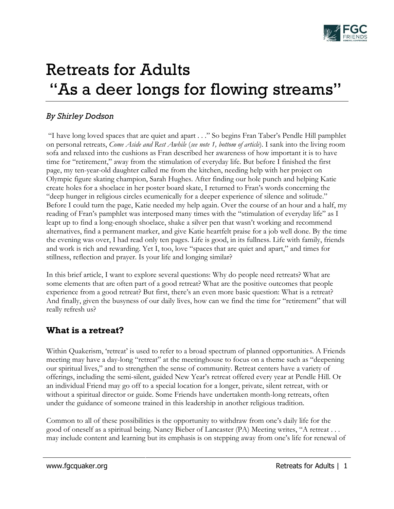

# Retreats for Adults "As a deer longs for flowing streams"

### *By Shirley Dodson*

"I have long loved spaces that are quiet and apart . . ." So begins Fran Taber's Pendle Hill pamphlet on personal retreats, *Come Aside and Rest Awhile* (*see note 1, bottom of article*). I sank into the living room sofa and relaxed into the cushions as Fran described her awareness of how important it is to have time for "retirement," away from the stimulation of everyday life. But before I finished the first page, my ten-year-old daughter called me from the kitchen, needing help with her project on Olympic figure skating champion, Sarah Hughes. After finding our hole punch and helping Katie create holes for a shoelace in her poster board skate, I returned to Fran's words concerning the "deep hunger in religious circles ecumenically for a deeper experience of silence and solitude." Before I could turn the page, Katie needed my help again. Over the course of an hour and a half, my reading of Fran's pamphlet was interposed many times with the "stimulation of everyday life" as I leapt up to find a long-enough shoelace, shake a silver pen that wasn't working and recommend alternatives, find a permanent marker, and give Katie heartfelt praise for a job well done. By the time the evening was over, I had read only ten pages. Life is good, in its fullness. Life with family, friends and work is rich and rewarding. Yet I, too, love "spaces that are quiet and apart," and times for stillness, reflection and prayer. Is your life and longing similar?

In this brief article, I want to explore several questions: Why do people need retreats? What are some elements that are often part of a good retreat? What are the positive outcomes that people experience from a good retreat? But first, there's an even more basic question: What is a retreat? And finally, given the busyness of our daily lives, how can we find the time for "retirement" that will really refresh us?

# **What is a retreat?**

Within Quakerism, 'retreat' is used to refer to a broad spectrum of planned opportunities. A Friends meeting may have a day-long "retreat" at the meetinghouse to focus on a theme such as "deepening our spiritual lives," and to strengthen the sense of community. Retreat centers have a variety of offerings, including the semi-silent, guided New Year's retreat offered every year at Pendle Hill. Or an individual Friend may go off to a special location for a longer, private, silent retreat, with or without a spiritual director or guide. Some Friends have undertaken month-long retreats, often under the guidance of someone trained in this leadership in another religious tradition.

Common to all of these possibilities is the opportunity to withdraw from one's daily life for the good of oneself as a spiritual being. Nancy Bieber of Lancaster (PA) Meeting writes, "A retreat . . . may include content and learning but its emphasis is on stepping away from one's life for renewal of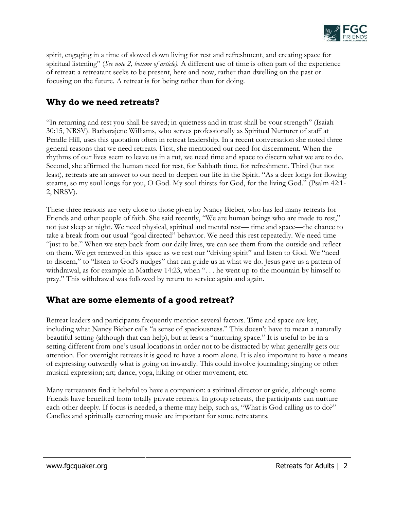

spirit, engaging in a time of slowed down living for rest and refreshment, and creating space for spiritual listening" (*See note 2, bottom of article).* A different use of time is often part of the experience of retreat: a retreatant seeks to be present, here and now, rather than dwelling on the past or focusing on the future. A retreat is for being rather than for doing.

# **Why do we need retreats?**

"In returning and rest you shall be saved; in quietness and in trust shall be your strength" (Isaiah 30:15, NRSV). Barbarajene Williams, who serves professionally as Spiritual Nurturer of staff at Pendle Hill, uses this quotation often in retreat leadership. In a recent conversation she noted three general reasons that we need retreats. First, she mentioned our need for discernment. When the rhythms of our lives seem to leave us in a rut, we need time and space to discern what we are to do. Second, she affirmed the human need for rest, for Sabbath time, for refreshment. Third (but not least), retreats are an answer to our need to deepen our life in the Spirit. "As a deer longs for flowing steams, so my soul longs for you, O God. My soul thirsts for God, for the living God." (Psalm 42:1- 2, NRSV).

These three reasons are very close to those given by Nancy Bieber, who has led many retreats for Friends and other people of faith. She said recently, "We are human beings who are made to rest," not just sleep at night. We need physical, spiritual and mental rest— time and space—the chance to take a break from our usual "goal directed" behavior. We need this rest repeatedly. We need time "just to be." When we step back from our daily lives, we can see them from the outside and reflect on them. We get renewed in this space as we rest our "driving spirit" and listen to God. We "need to discern," to "listen to God's nudges" that can guide us in what we do. Jesus gave us a pattern of withdrawal, as for example in Matthew 14:23, when ". . . he went up to the mountain by himself to pray." This withdrawal was followed by return to service again and again.

# **What are some elements of a good retreat?**

Retreat leaders and participants frequently mention several factors. Time and space are key, including what Nancy Bieber calls "a sense of spaciousness." This doesn't have to mean a naturally beautiful setting (although that can help), but at least a "nurturing space." It is useful to be in a setting different from one's usual locations in order not to be distracted by what generally gets our attention. For overnight retreats it is good to have a room alone. It is also important to have a means of expressing outwardly what is going on inwardly. This could involve journaling; singing or other musical expression; art; dance, yoga, hiking or other movement, etc.

Many retreatants find it helpful to have a companion: a spiritual director or guide, although some Friends have benefited from totally private retreats. In group retreats, the participants can nurture each other deeply. If focus is needed, a theme may help, such as, "What is God calling us to do?" Candles and spiritually centering music are important for some retreatants.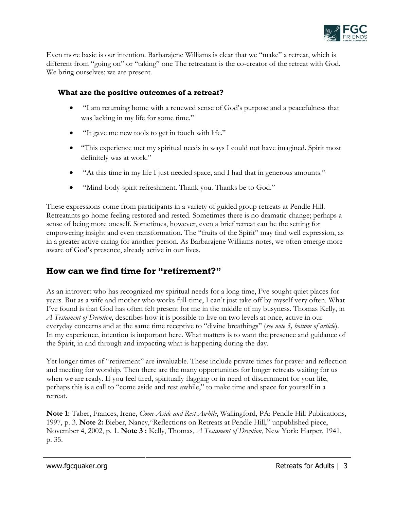

Even more basic is our intention. Barbarajene Williams is clear that we "make" a retreat, which is different from "going on" or "taking" one The retreatant is the co-creator of the retreat with God. We bring ourselves; we are present.

#### **What are the positive outcomes of a retreat?**

- "I am returning home with a renewed sense of God's purpose and a peacefulness that was lacking in my life for some time."
- "It gave me new tools to get in touch with life."
- "This experience met my spiritual needs in ways I could not have imagined. Spirit most definitely was at work."
- "At this time in my life I just needed space, and I had that in generous amounts."
- "Mind-body-spirit refreshment. Thank you. Thanks be to God."

These expressions come from participants in a variety of guided group retreats at Pendle Hill. Retreatants go home feeling restored and rested. Sometimes there is no dramatic change; perhaps a sense of being more oneself. Sometimes, however, even a brief retreat can be the setting for empowering insight and even transformation. The "fruits of the Spirit" may find well expression, as in a greater active caring for another person. As Barbarajene Williams notes, we often emerge more aware of God's presence, already active in our lives.

# **How can we find time for "retirement?"**

As an introvert who has recognized my spiritual needs for a long time, I've sought quiet places for years. But as a wife and mother who works full-time, I can't just take off by myself very often. What I've found is that God has often felt present for me in the middle of my busyness. Thomas Kelly, in *A Testament of Devotion*, describes how it is possible to live on two levels at once, active in our everyday concerns and at the same time receptive to "divine breathings" (*see note 3, bottom of article*). In my experience, intention is important here. What matters is to want the presence and guidance of the Spirit, in and through and impacting what is happening during the day.

Yet longer times of "retirement" are invaluable. These include private times for prayer and reflection and meeting for worship. Then there are the many opportunities for longer retreats waiting for us when we are ready. If you feel tired, spiritually flagging or in need of discernment for your life, perhaps this is a call to "come aside and rest awhile," to make time and space for yourself in a retreat.

**Note 1:** Taber, Frances, Irene, *Come Aside and Rest Awhile*, Wallingford, PA: Pendle Hill Publications, 1997, p. 3. **Note 2:** Bieber, Nancy,"Reflections on Retreats at Pendle Hill," unpublished piece, November 4, 2002, p. 1. **Note 3 :** Kelly, Thomas, *A Testament of Devotion*, New York: Harper, 1941, p. 35.